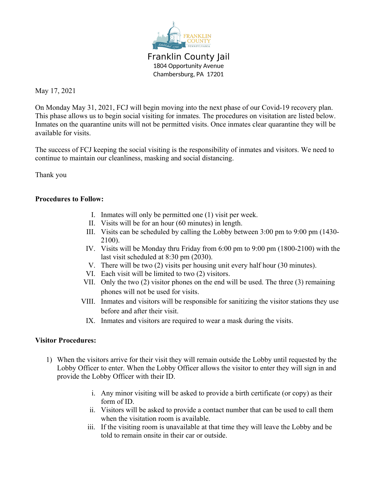

Franklin County Jail 1804 Opportunity Avenue Chambersburg, PA 17201

May 17, 2021

On Monday May 31, 2021, FCJ will begin moving into the next phase of our Covid-19 recovery plan. This phase allows us to begin social visiting for inmates. The procedures on visitation are listed below. Inmates on the quarantine units will not be permitted visits. Once inmates clear quarantine they will be available for visits.

The success of FCJ keeping the social visiting is the responsibility of inmates and visitors. We need to continue to maintain our cleanliness, masking and social distancing.

Thank you

## **Procedures to Follow:**

- I. Inmates will only be permitted one (1) visit per week.
- II. Visits will be for an hour (60 minutes) in length.
- III. Visits can be scheduled by calling the Lobby between 3:00 pm to 9:00 pm (1430- 2100).
- IV. Visits will be Monday thru Friday from 6:00 pm to 9:00 pm (1800-2100) with the last visit scheduled at 8:30 pm (2030).
- V. There will be two (2) visits per housing unit every half hour (30 minutes).
- VI. Each visit will be limited to two (2) visitors.
- VII. Only the two (2) visitor phones on the end will be used. The three (3) remaining phones will not be used for visits.
- VIII. Inmates and visitors will be responsible for sanitizing the visitor stations they use before and after their visit.
	- IX. Inmates and visitors are required to wear a mask during the visits.

## **Visitor Procedures:**

- 1) When the visitors arrive for their visit they will remain outside the Lobby until requested by the Lobby Officer to enter. When the Lobby Officer allows the visitor to enter they will sign in and provide the Lobby Officer with their ID.
	- i. Any minor visiting will be asked to provide a birth certificate (or copy) as their form of ID.
	- ii. Visitors will be asked to provide a contact number that can be used to call them when the visitation room is available.
	- iii. If the visiting room is unavailable at that time they will leave the Lobby and be told to remain onsite in their car or outside.